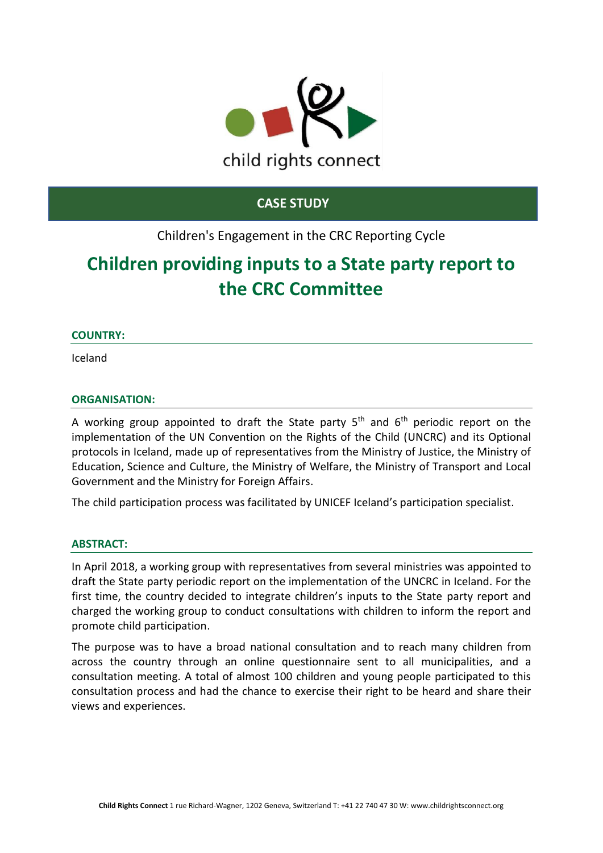

# **CASE STUDY**

# Children's Engagement in the CRC Reporting Cycle

# **Children providing inputs to a State party report to the CRC Committee**

## **COUNTRY:**

Iceland

## **ORGANISATION:**

A working group appointed to draft the State party 5<sup>th</sup> and 6<sup>th</sup> periodic report on the implementation of the UN Convention on the Rights of the Child (UNCRC) and its Optional protocols in Iceland, made up of representatives from the Ministry of Justice, the Ministry of Education, Science and Culture, the Ministry of Welfare, the Ministry of Transport and Local Government and the Ministry for Foreign Affairs.

The child participation process was facilitated by UNICEF Iceland's participation specialist.

## **ABSTRACT:**

In April 2018, a working group with representatives from several ministries was appointed to draft the State party periodic report on the implementation of the UNCRC in Iceland. For the first time, the country decided to integrate children's inputs to the State party report and charged the working group to conduct consultations with children to inform the report and promote child participation.

The purpose was to have a broad national consultation and to reach many children from across the country through an online questionnaire sent to all municipalities, and a consultation meeting. A total of almost 100 children and young people participated to this consultation process and had the chance to exercise their right to be heard and share their views and experiences.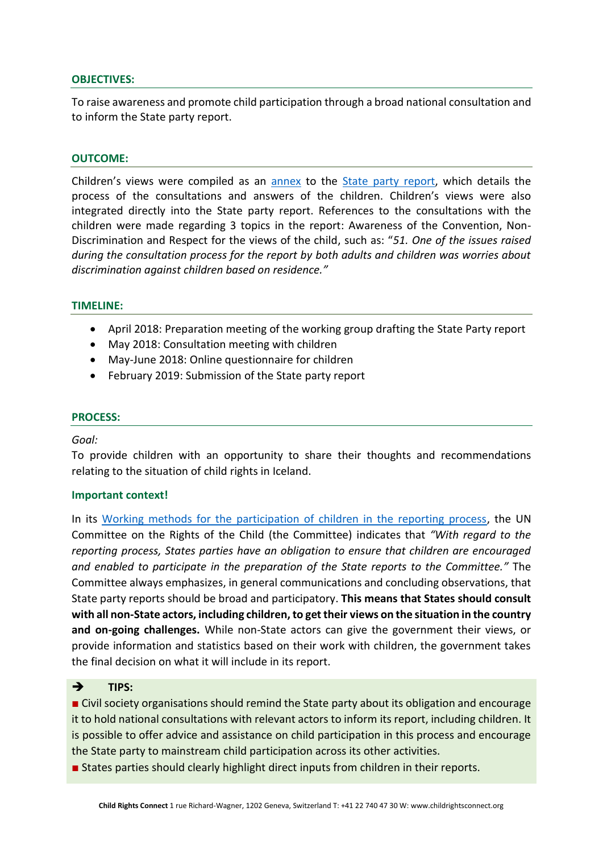#### **OBJECTIVES:**

To raise awareness and promote child participation through a broad national consultation and to inform the State party report.

#### **OUTCOME:**

Children's views were compiled as an [annex](https://tbinternet.ohchr.org/_layouts/15/treatybodyexternal/Download.aspx?symbolno=INT%2fCRC%2fADR%2fISL%2f43369&Lang=en) to the [State party report,](https://tbinternet.ohchr.org/_layouts/15/treatybodyexternal/Download.aspx?symbolno=CRC%2fC%2fISL%2f5-6&Lang=en) which details the process of the consultations and answers of the children. Children's views were also integrated directly into the State party report. References to the consultations with the children were made regarding 3 topics in the report: Awareness of the Convention, Non-Discrimination and Respect for the views of the child, such as: "*51. One of the issues raised during the consultation process for the report by both adults and children was worries about discrimination against children based on residence."*

#### **TIMELINE:**

- April 2018: Preparation meeting of the working group drafting the State Party report
- May 2018: Consultation meeting with children
- May-June 2018: Online questionnaire for children
- February 2019: Submission of the State party report

#### **PROCESS:**

#### *Goal:*

To provide children with an opportunity to share their thoughts and recommendations relating to the situation of child rights in Iceland.

#### **Important context!**

In its [Working methods for the participation of children in the reporting process,](https://tbinternet.ohchr.org/_layouts/15/treatybodyexternal/Download.aspx?symbolno=CRC/C/66/2&Lang=en) the UN Committee on the Rights of the Child (the Committee) indicates that *"With regard to the reporting process, States parties have an obligation to ensure that children are encouraged and enabled to participate in the preparation of the State reports to the Committee."* The Committee always emphasizes, in general communications and concluding observations, that State party reports should be broad and participatory. **This means that States should consult with all non-State actors, including children, to get their views on the situation in the country and on-going challenges.** While non-State actors can give the government their views, or provide information and statistics based on their work with children, the government takes the final decision on what it will include in its report.

## ➔ **TIPS:**

■ Civil society organisations should remind the State party about its obligation and encourage it to hold national consultations with relevant actors to inform its report, including children. It is possible to offer advice and assistance on child participation in this process and encourage the State party to mainstream child participation across its other activities.

■ States parties should clearly highlight direct inputs from children in their reports.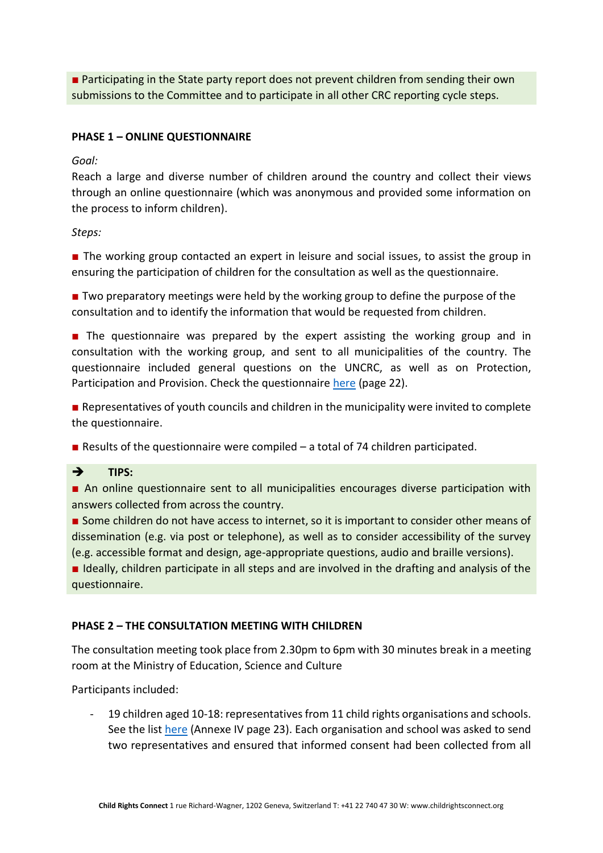■ Participating in the State party report does not prevent children from sending their own submissions to the Committee and to participate in all other CRC reporting cycle steps.

## **PHASE 1 – ONLINE QUESTIONNAIRE**

*Goal:* 

Reach a large and diverse number of children around the country and collect their views through an online questionnaire (which was anonymous and provided some information on the process to inform children).

*Steps:*

■ The working group contacted an expert in leisure and social issues, to assist the group in ensuring the participation of children for the consultation as well as the questionnaire.

■ Two preparatory meetings were held by the working group to define the purpose of the consultation and to identify the information that would be requested from children.

■ The questionnaire was prepared by the expert assisting the working group and in consultation with the working group, and sent to all municipalities of the country. The questionnaire included general questions on the UNCRC, as well as on Protection, Participation and Provision. Check the questionnaire [here](https://tbinternet.ohchr.org/_layouts/15/treatybodyexternal/Download.aspx?symbolno=INT%2fCRC%2fADR%2fISL%2f43369&Lang=en) (page 22).

■ Representatives of youth councils and children in the municipality were invited to complete the questionnaire.

■ Results of the questionnaire were compiled – a total of 74 children participated.

➔ **TIPS:** 

■ An online questionnaire sent to all municipalities encourages diverse participation with answers collected from across the country.

■ Some children do not have access to internet, so it is important to consider other means of dissemination (e.g. via post or telephone), as well as to consider accessibility of the survey (e.g. accessible format and design, age-appropriate questions, audio and braille versions).

■ Ideally, children participate in all steps and are involved in the drafting and analysis of the questionnaire.

# **PHASE 2 – THE CONSULTATION MEETING WITH CHILDREN**

The consultation meeting took place from 2.30pm to 6pm with 30 minutes break in a meeting room at the Ministry of Education, Science and Culture

Participants included:

19 children aged 10-18: representatives from 11 child rights organisations and schools. See the list [here](https://www.stjornarradid.is/library/03-Verkefni/Felags--og-fjolskyldumal/Malefni-barna/Barnask%c3%bdrsla%20-%20enska.pdf) (Annexe IV page 23). Each organisation and school was asked to send two representatives and ensured that informed consent had been collected from all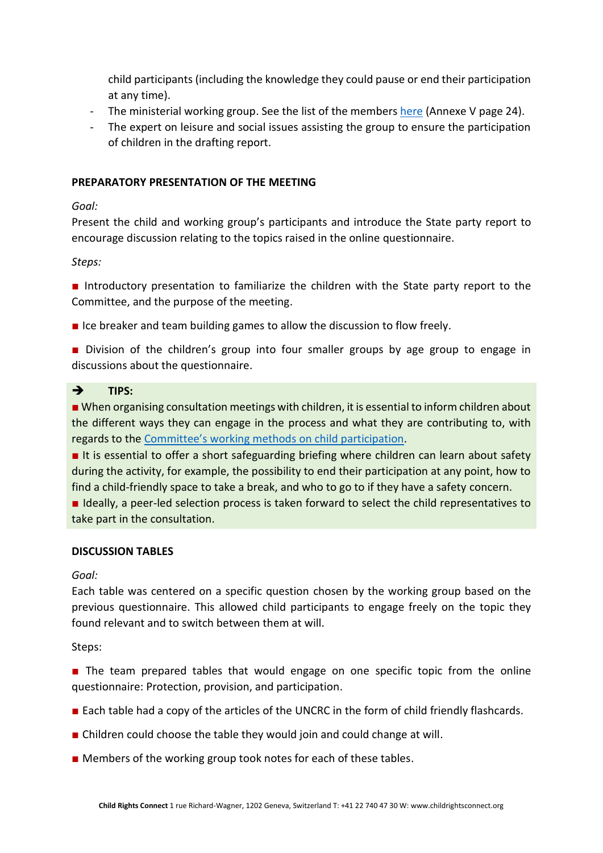child participants (including the knowledge they could pause or end their participation at any time).

- The ministerial working group. See the list of the members [here](https://www.stjornarradid.is/library/03-Verkefni/Felags--og-fjolskyldumal/Malefni-barna/Barnask%c3%bdrsla%20-%20enska.pdf) (Annexe V page 24).
- The expert on leisure and social issues assisting the group to ensure the participation of children in the drafting report.

# **PREPARATORY PRESENTATION OF THE MEETING**

*Goal:* 

Present the child and working group's participants and introduce the State party report to encourage discussion relating to the topics raised in the online questionnaire.

*Steps:*

■ Introductory presentation to familiarize the children with the State party report to the Committee, and the purpose of the meeting.

■ Ice breaker and team building games to allow the discussion to flow freely.

■ Division of the children's group into four smaller groups by age group to engage in discussions about the questionnaire.

# ➔ **TIPS:**

■ When organising consultation meetings with children, it is essential to inform children about the different ways they can engage in the process and what they are contributing to, with regards to the Committee's working methods [on child participation.](https://tbinternet.ohchr.org/_layouts/15/treatybodyexternal/Download.aspx?symbolno=CRC/C/66/2&Lang=en)

■ It is essential to offer a short safeguarding briefing where children can learn about safety during the activity, for example, the possibility to end their participation at any point, how to find a child-friendly space to take a break, and who to go to if they have a safety concern.

■ Ideally, a peer-led selection process is taken forward to select the child representatives to take part in the consultation.

## **DISCUSSION TABLES**

## *Goal:*

Each table was centered on a specific question chosen by the working group based on the previous questionnaire. This allowed child participants to engage freely on the topic they found relevant and to switch between them at will.

Steps:

■ The team prepared tables that would engage on one specific topic from the online questionnaire: Protection, provision, and participation.

- Each table had a copy of the articles of the UNCRC in the form of child friendly flashcards.
- Children could choose the table they would join and could change at will.
- Members of the working group took notes for each of these tables.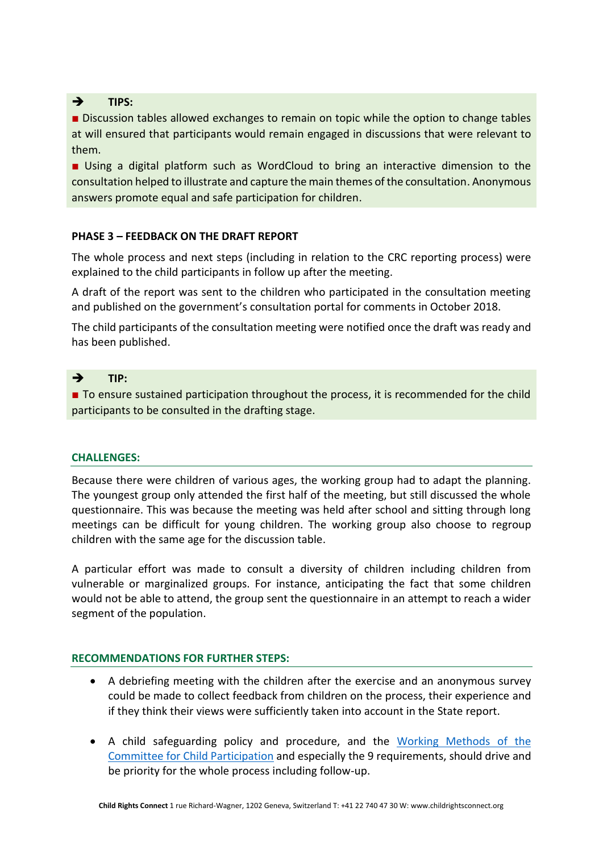# ➔ **TIPS:**

■ Discussion tables allowed exchanges to remain on topic while the option to change tables at will ensured that participants would remain engaged in discussions that were relevant to them.

■ Using a digital platform such as WordCloud to bring an interactive dimension to the consultation helped to illustrate and capture the main themes of the consultation. Anonymous answers promote equal and safe participation for children.

# **PHASE 3 – FEEDBACK ON THE DRAFT REPORT**

The whole process and next steps (including in relation to the CRC reporting process) were explained to the child participants in follow up after the meeting.

A draft of the report was sent to the children who participated in the consultation meeting and published on the government's consultation portal for comments in October 2018.

The child participants of the consultation meeting were notified once the draft was ready and has been published.

## ➔ **TIP:**

■ To ensure sustained participation throughout the process, it is recommended for the child participants to be consulted in the drafting stage.

## **CHALLENGES:**

Because there were children of various ages, the working group had to adapt the planning. The youngest group only attended the first half of the meeting, but still discussed the whole questionnaire. This was because the meeting was held after school and sitting through long meetings can be difficult for young children. The working group also choose to regroup children with the same age for the discussion table.

A particular effort was made to consult a diversity of children including children from vulnerable or marginalized groups. For instance, anticipating the fact that some children would not be able to attend, the group sent the questionnaire in an attempt to reach a wider segment of the population.

## **RECOMMENDATIONS FOR FURTHER STEPS:**

- A debriefing meeting with the children after the exercise and an anonymous survey could be made to collect feedback from children on the process, their experience and if they think their views were sufficiently taken into account in the State report.
- A child safeguarding policy and procedure, and the [Working Methods](https://tbinternet.ohchr.org/_layouts/15/treatybodyexternal/Download.aspx?symbolno=CRC/C/66/2&Lang=en) of the [Committee for Child Participation](https://tbinternet.ohchr.org/_layouts/15/treatybodyexternal/Download.aspx?symbolno=CRC/C/66/2&Lang=en) and especially the 9 requirements, should drive and be priority for the whole process including follow-up.